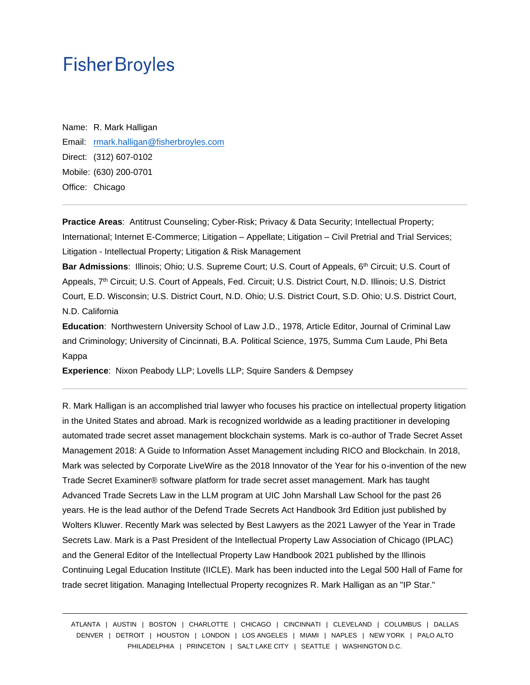Name: R. Mark Halligan Email: [rmark.halligan@fisherbroyles.com](mailto:rmark.halligan@fisherbroyles.com) Direct: (312) 607-0102 Mobile: (630) 200-0701 Office: Chicago

**Practice Areas**: Antitrust Counseling; Cyber-Risk; Privacy & Data Security; Intellectual Property; International; Internet E-Commerce; Litigation – Appellate; Litigation – Civil Pretrial and Trial Services; Litigation - Intellectual Property; Litigation & Risk Management

**Bar Admissions**: Illinois; Ohio; U.S. Supreme Court; U.S. Court of Appeals, 6th Circuit; U.S. Court of Appeals, 7<sup>th</sup> Circuit; U.S. Court of Appeals, Fed. Circuit; U.S. District Court, N.D. Illinois; U.S. District Court, E.D. Wisconsin; U.S. District Court, N.D. Ohio; U.S. District Court, S.D. Ohio; U.S. District Court, N.D. California

**Education**: Northwestern University School of Law J.D., 1978, Article Editor, Journal of Criminal Law and Criminology; University of Cincinnati, B.A. Political Science, 1975, Summa Cum Laude, Phi Beta Kappa

**Experience**: Nixon Peabody LLP; Lovells LLP; Squire Sanders & Dempsey

R. Mark Halligan is an accomplished trial lawyer who focuses his practice on intellectual property litigation in the United States and abroad. Mark is recognized worldwide as a leading practitioner in developing automated trade secret asset management blockchain systems. Mark is co-author of Trade Secret Asset Management 2018: A Guide to Information Asset Management including RICO and Blockchain. In 2018, Mark was selected by Corporate LiveWire as the 2018 Innovator of the Year for his o-invention of the new Trade Secret Examiner® software platform for trade secret asset management. Mark has taught Advanced Trade Secrets Law in the LLM program at UIC John Marshall Law School for the past 26 years. He is the lead author of the Defend Trade Secrets Act Handbook 3rd Edition just published by Wolters Kluwer. Recently Mark was selected by Best Lawyers as the 2021 Lawyer of the Year in Trade Secrets Law. Mark is a Past President of the Intellectual Property Law Association of Chicago (IPLAC) and the General Editor of the Intellectual Property Law Handbook 2021 published by the Illinois Continuing Legal Education Institute (IICLE). Mark has been inducted into the Legal 500 Hall of Fame for trade secret litigation. Managing Intellectual Property recognizes R. Mark Halligan as an "IP Star."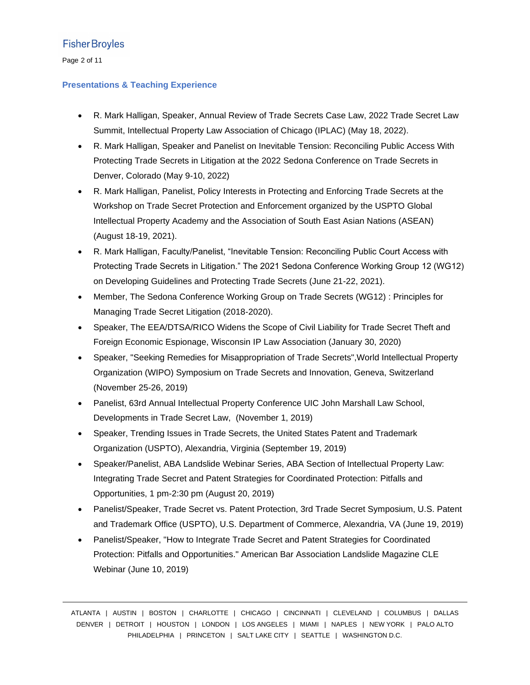Page 2 of 11

#### **Presentations & Teaching Experience**

- R. Mark Halligan, Speaker, Annual Review of Trade Secrets Case Law, 2022 Trade Secret Law Summit, Intellectual Property Law Association of Chicago (IPLAC) (May 18, 2022).
- R. Mark Halligan, Speaker and Panelist on Inevitable Tension: Reconciling Public Access With Protecting Trade Secrets in Litigation at the 2022 Sedona Conference on Trade Secrets in Denver, Colorado (May 9-10, 2022)
- R. Mark Halligan, Panelist, Policy Interests in Protecting and Enforcing Trade Secrets at the Workshop on Trade Secret Protection and Enforcement organized by the USPTO Global Intellectual Property Academy and the Association of South East Asian Nations (ASEAN) (August 18-19, 2021).
- R. Mark Halligan, Faculty/Panelist, "Inevitable Tension: Reconciling Public Court Access with Protecting Trade Secrets in Litigation." The 2021 Sedona Conference Working Group 12 (WG12) on Developing Guidelines and Protecting Trade Secrets (June 21-22, 2021).
- Member, The Sedona Conference Working Group on Trade Secrets (WG12) : Principles for Managing Trade Secret Litigation (2018-2020).
- Speaker, The EEA/DTSA/RICO Widens the Scope of Civil Liability for Trade Secret Theft and Foreign Economic Espionage, Wisconsin IP Law Association (January 30, 2020)
- Speaker, "Seeking Remedies for Misappropriation of Trade Secrets",World Intellectual Property Organization (WIPO) Symposium on Trade Secrets and Innovation, Geneva, Switzerland (November 25-26, 2019)
- Panelist, 63rd Annual Intellectual Property Conference UIC John Marshall Law School, Developments in Trade Secret Law, (November 1, 2019)
- Speaker, Trending Issues in Trade Secrets, the United States Patent and Trademark Organization (USPTO), Alexandria, Virginia (September 19, 2019)
- Speaker/Panelist, ABA Landslide Webinar Series, ABA Section of Intellectual Property Law: Integrating Trade Secret and Patent Strategies for Coordinated Protection: Pitfalls and Opportunities, 1 pm-2:30 pm (August 20, 2019)
- Panelist/Speaker, Trade Secret vs. Patent Protection, 3rd Trade Secret Symposium, U.S. Patent and Trademark Office (USPTO), U.S. Department of Commerce, Alexandria, VA (June 19, 2019)
- Panelist/Speaker, "How to Integrate Trade Secret and Patent Strategies for Coordinated Protection: Pitfalls and Opportunities." American Bar Association Landslide Magazine CLE Webinar (June 10, 2019)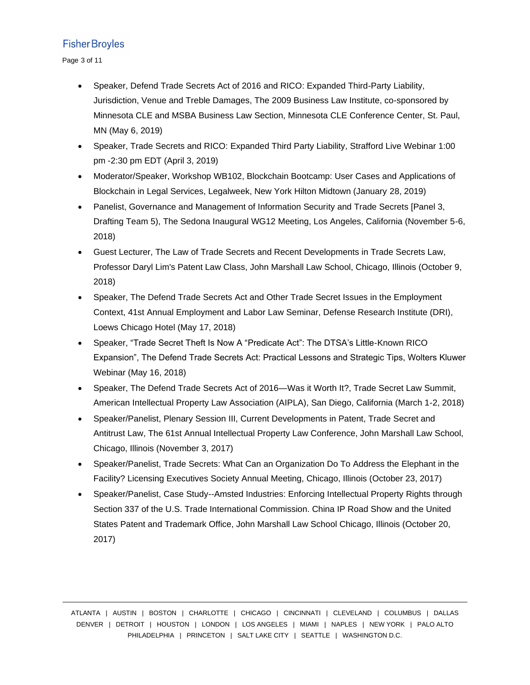Page 3 of 11

- Speaker, Defend Trade Secrets Act of 2016 and RICO: Expanded Third-Party Liability, Jurisdiction, Venue and Treble Damages, The 2009 Business Law Institute, co-sponsored by Minnesota CLE and MSBA Business Law Section, Minnesota CLE Conference Center, St. Paul, MN (May 6, 2019)
- Speaker, Trade Secrets and RICO: Expanded Third Party Liability, Strafford Live Webinar 1:00 pm -2:30 pm EDT (April 3, 2019)
- Moderator/Speaker, Workshop WB102, Blockchain Bootcamp: User Cases and Applications of Blockchain in Legal Services, Legalweek, New York Hilton Midtown (January 28, 2019)
- Panelist, Governance and Management of Information Security and Trade Secrets [Panel 3, Drafting Team 5), The Sedona Inaugural WG12 Meeting, Los Angeles, California (November 5-6, 2018)
- Guest Lecturer, The Law of Trade Secrets and Recent Developments in Trade Secrets Law, Professor Daryl Lim's Patent Law Class, John Marshall Law School, Chicago, Illinois (October 9, 2018)
- Speaker, The Defend Trade Secrets Act and Other Trade Secret Issues in the Employment Context, 41st Annual Employment and Labor Law Seminar, Defense Research Institute (DRI), Loews Chicago Hotel (May 17, 2018)
- Speaker, "Trade Secret Theft Is Now A "Predicate Act": The DTSA's Little-Known RICO Expansion", The Defend Trade Secrets Act: Practical Lessons and Strategic Tips, Wolters Kluwer Webinar (May 16, 2018)
- Speaker, The Defend Trade Secrets Act of 2016—Was it Worth It?, Trade Secret Law Summit, American Intellectual Property Law Association (AIPLA), San Diego, California (March 1-2, 2018)
- Speaker/Panelist, Plenary Session III, Current Developments in Patent, Trade Secret and Antitrust Law, The 61st Annual Intellectual Property Law Conference, John Marshall Law School, Chicago, Illinois (November 3, 2017)
- Speaker/Panelist, Trade Secrets: What Can an Organization Do To Address the Elephant in the Facility? Licensing Executives Society Annual Meeting, Chicago, Illinois (October 23, 2017)
- Speaker/Panelist, Case Study--Amsted Industries: Enforcing Intellectual Property Rights through Section 337 of the U.S. Trade International Commission. China IP Road Show and the United States Patent and Trademark Office, John Marshall Law School Chicago, Illinois (October 20, 2017)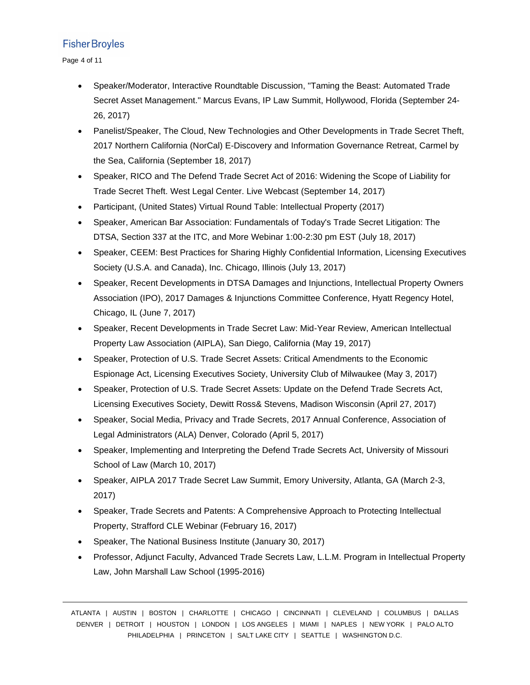Page 4 of 11

- Speaker/Moderator, Interactive Roundtable Discussion, "Taming the Beast: Automated Trade Secret Asset Management." Marcus Evans, IP Law Summit, Hollywood, Florida (September 24- 26, 2017)
- Panelist/Speaker, The Cloud, New Technologies and Other Developments in Trade Secret Theft, 2017 Northern California (NorCal) E-Discovery and Information Governance Retreat, Carmel by the Sea, California (September 18, 2017)
- Speaker, RICO and The Defend Trade Secret Act of 2016: Widening the Scope of Liability for Trade Secret Theft. West Legal Center. Live Webcast (September 14, 2017)
- Participant, (United States) Virtual Round Table: Intellectual Property (2017)
- Speaker, American Bar Association: Fundamentals of Today's Trade Secret Litigation: The DTSA, Section 337 at the ITC, and More Webinar 1:00-2:30 pm EST (July 18, 2017)
- Speaker, CEEM: Best Practices for Sharing Highly Confidential Information, Licensing Executives Society (U.S.A. and Canada), Inc. Chicago, Illinois (July 13, 2017)
- Speaker, Recent Developments in DTSA Damages and Injunctions, Intellectual Property Owners Association (IPO), 2017 Damages & Injunctions Committee Conference, Hyatt Regency Hotel, Chicago, IL (June 7, 2017)
- Speaker, Recent Developments in Trade Secret Law: Mid-Year Review, American Intellectual Property Law Association (AIPLA), San Diego, California (May 19, 2017)
- Speaker, Protection of U.S. Trade Secret Assets: Critical Amendments to the Economic Espionage Act, Licensing Executives Society, University Club of Milwaukee (May 3, 2017)
- Speaker, Protection of U.S. Trade Secret Assets: Update on the Defend Trade Secrets Act, Licensing Executives Society, Dewitt Ross& Stevens, Madison Wisconsin (April 27, 2017)
- Speaker, Social Media, Privacy and Trade Secrets, 2017 Annual Conference, Association of Legal Administrators (ALA) Denver, Colorado (April 5, 2017)
- Speaker, Implementing and Interpreting the Defend Trade Secrets Act, University of Missouri School of Law (March 10, 2017)
- Speaker, AIPLA 2017 Trade Secret Law Summit, Emory University, Atlanta, GA (March 2-3, 2017)
- Speaker, Trade Secrets and Patents: A Comprehensive Approach to Protecting Intellectual Property, Strafford CLE Webinar (February 16, 2017)
- Speaker, The National Business Institute (January 30, 2017)
- Professor, Adjunct Faculty, Advanced Trade Secrets Law, L.L.M. Program in Intellectual Property Law, John Marshall Law School (1995-2016)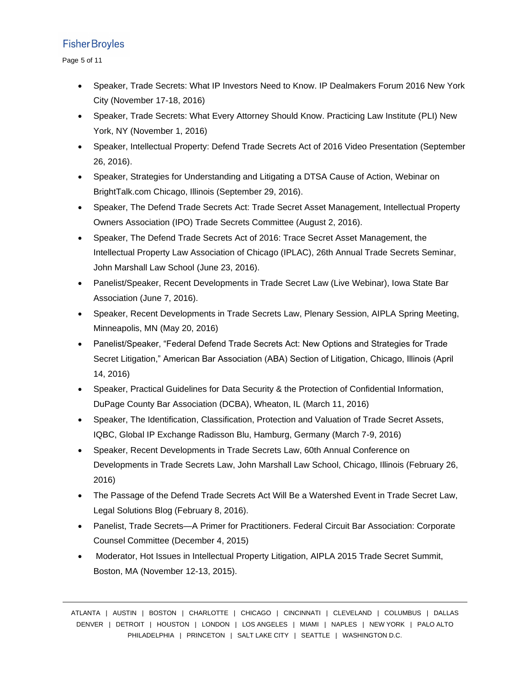Page 5 of 11

- Speaker, Trade Secrets: What IP Investors Need to Know. IP Dealmakers Forum 2016 New York City (November 17-18, 2016)
- Speaker, Trade Secrets: What Every Attorney Should Know. Practicing Law Institute (PLI) New York, NY (November 1, 2016)
- Speaker, Intellectual Property: Defend Trade Secrets Act of 2016 Video Presentation (September 26, 2016).
- Speaker, Strategies for Understanding and Litigating a DTSA Cause of Action, Webinar on BrightTalk.com Chicago, Illinois (September 29, 2016).
- Speaker, The Defend Trade Secrets Act: Trade Secret Asset Management, Intellectual Property Owners Association (IPO) Trade Secrets Committee (August 2, 2016).
- Speaker, The Defend Trade Secrets Act of 2016: Trace Secret Asset Management, the Intellectual Property Law Association of Chicago (IPLAC), 26th Annual Trade Secrets Seminar, John Marshall Law School (June 23, 2016).
- Panelist/Speaker, Recent Developments in Trade Secret Law (Live Webinar), Iowa State Bar Association (June 7, 2016).
- Speaker, Recent Developments in Trade Secrets Law, Plenary Session, AIPLA Spring Meeting, Minneapolis, MN (May 20, 2016)
- Panelist/Speaker, "Federal Defend Trade Secrets Act: New Options and Strategies for Trade Secret Litigation," American Bar Association (ABA) Section of Litigation, Chicago, Illinois (April 14, 2016)
- Speaker, Practical Guidelines for Data Security & the Protection of Confidential Information, DuPage County Bar Association (DCBA), Wheaton, IL (March 11, 2016)
- Speaker, The Identification, Classification, Protection and Valuation of Trade Secret Assets, IQBC, Global IP Exchange Radisson Blu, Hamburg, Germany (March 7-9, 2016)
- Speaker, Recent Developments in Trade Secrets Law, 60th Annual Conference on Developments in Trade Secrets Law, John Marshall Law School, Chicago, Illinois (February 26, 2016)
- The Passage of the Defend Trade Secrets Act Will Be a Watershed Event in Trade Secret Law, Legal Solutions Blog (February 8, 2016).
- Panelist, Trade Secrets—A Primer for Practitioners. Federal Circuit Bar Association: Corporate Counsel Committee (December 4, 2015)
- Moderator, Hot Issues in Intellectual Property Litigation, AIPLA 2015 Trade Secret Summit, Boston, MA (November 12-13, 2015).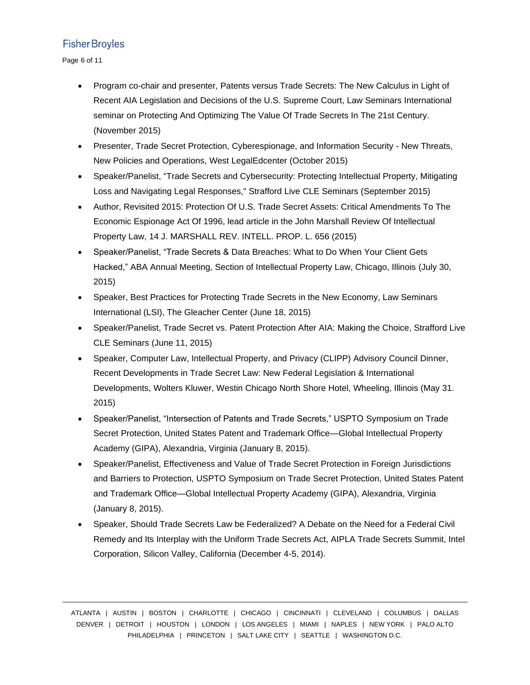Page 6 of 11

- Program co-chair and presenter, Patents versus Trade Secrets: The New Calculus in Light of Recent AIA Legislation and Decisions of the U.S. Supreme Court, Law Seminars International seminar on Protecting And Optimizing The Value Of Trade Secrets In The 21st Century. (November 2015)
- Presenter, Trade Secret Protection, Cyberespionage, and Information Security New Threats, New Policies and Operations, West LegalEdcenter (October 2015)
- Speaker/Panelist, "Trade Secrets and Cybersecurity: Protecting Intellectual Property, Mitigating Loss and Navigating Legal Responses," Strafford Live CLE Seminars (September 2015)
- Author, Revisited 2015: Protection Of U.S. Trade Secret Assets: Critical Amendments To The Economic Espionage Act Of 1996, lead article in the John Marshall Review Of Intellectual Property Law, 14 J. MARSHALL REV. INTELL. PROP. L. 656 (2015)
- Speaker/Panelist, "Trade Secrets & Data Breaches: What to Do When Your Client Gets Hacked," ABA Annual Meeting, Section of Intellectual Property Law, Chicago, Illinois (July 30, 2015)
- Speaker, Best Practices for Protecting Trade Secrets in the New Economy, Law Seminars International (LSI), The Gleacher Center (June 18, 2015)
- Speaker/Panelist, Trade Secret vs. Patent Protection After AIA: Making the Choice, Strafford Live CLE Seminars (June 11, 2015)
- Speaker, Computer Law, Intellectual Property, and Privacy (CLIPP) Advisory Council Dinner, Recent Developments in Trade Secret Law: New Federal Legislation & International Developments, Wolters Kluwer, Westin Chicago North Shore Hotel, Wheeling, Illinois (May 31. 2015)
- Speaker/Panelist, "Intersection of Patents and Trade Secrets," USPTO Symposium on Trade Secret Protection, United States Patent and Trademark Office—Global Intellectual Property Academy (GIPA), Alexandria, Virginia (January 8, 2015).
- Speaker/Panelist, Effectiveness and Value of Trade Secret Protection in Foreign Jurisdictions and Barriers to Protection, USPTO Symposium on Trade Secret Protection, United States Patent and Trademark Office—Global Intellectual Property Academy (GIPA), Alexandria, Virginia (January 8, 2015).
- Speaker, Should Trade Secrets Law be Federalized? A Debate on the Need for a Federal Civil Remedy and Its Interplay with the Uniform Trade Secrets Act, AIPLA Trade Secrets Summit, Intel Corporation, Silicon Valley, California (December 4-5, 2014).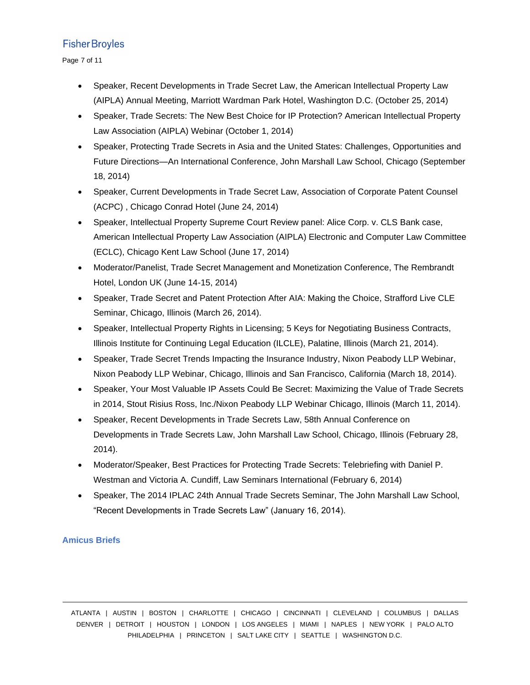Page 7 of 11

- Speaker, Recent Developments in Trade Secret Law, the American Intellectual Property Law (AIPLA) Annual Meeting, Marriott Wardman Park Hotel, Washington D.C. (October 25, 2014)
- Speaker, Trade Secrets: The New Best Choice for IP Protection? American Intellectual Property Law Association (AIPLA) Webinar (October 1, 2014)
- Speaker, Protecting Trade Secrets in Asia and the United States: Challenges, Opportunities and Future Directions—An International Conference, John Marshall Law School, Chicago (September 18, 2014)
- Speaker, Current Developments in Trade Secret Law, Association of Corporate Patent Counsel (ACPC) , Chicago Conrad Hotel (June 24, 2014)
- Speaker, Intellectual Property Supreme Court Review panel: Alice Corp. v. CLS Bank case, American Intellectual Property Law Association (AIPLA) Electronic and Computer Law Committee (ECLC), Chicago Kent Law School (June 17, 2014)
- Moderator/Panelist, Trade Secret Management and Monetization Conference, The Rembrandt Hotel, London UK (June 14-15, 2014)
- Speaker, Trade Secret and Patent Protection After AIA: Making the Choice, Strafford Live CLE Seminar, Chicago, Illinois (March 26, 2014).
- Speaker, Intellectual Property Rights in Licensing; 5 Keys for Negotiating Business Contracts, Illinois Institute for Continuing Legal Education (ILCLE), Palatine, Illinois (March 21, 2014).
- Speaker, Trade Secret Trends Impacting the Insurance Industry, Nixon Peabody LLP Webinar, Nixon Peabody LLP Webinar, Chicago, Illinois and San Francisco, California (March 18, 2014).
- Speaker, Your Most Valuable IP Assets Could Be Secret: Maximizing the Value of Trade Secrets in 2014, Stout Risius Ross, Inc./Nixon Peabody LLP Webinar Chicago, Illinois (March 11, 2014).
- Speaker, Recent Developments in Trade Secrets Law, 58th Annual Conference on Developments in Trade Secrets Law, John Marshall Law School, Chicago, Illinois (February 28, 2014).
- Moderator/Speaker, Best Practices for Protecting Trade Secrets: Telebriefing with Daniel P. Westman and Victoria A. Cundiff, Law Seminars International (February 6, 2014)
- Speaker, The 2014 IPLAC 24th Annual Trade Secrets Seminar, The John Marshall Law School, "Recent Developments in Trade Secrets Law" (January 16, 2014).

## **Amicus Briefs**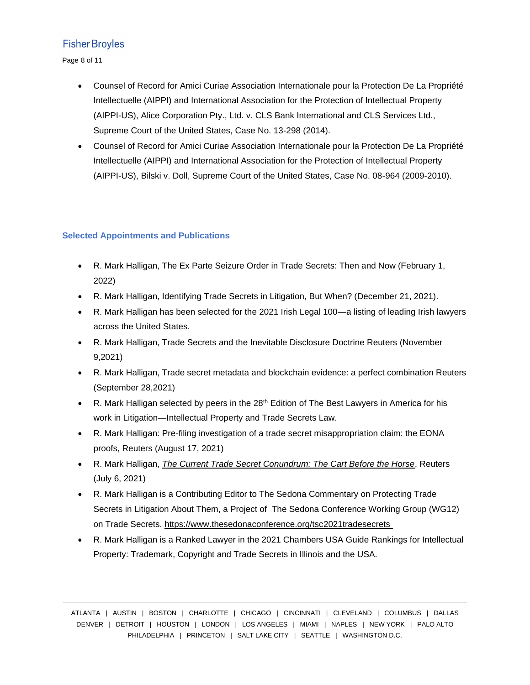Page 8 of 11

- Counsel of Record for Amici Curiae Association Internationale pour la Protection De La Propriété Intellectuelle (AIPPI) and International Association for the Protection of Intellectual Property (AIPPI-US), Alice Corporation Pty., Ltd. v. CLS Bank International and CLS Services Ltd., Supreme Court of the United States, Case No. 13-298 (2014).
- Counsel of Record for Amici Curiae Association Internationale pour la Protection De La Propriété Intellectuelle (AIPPI) and International Association for the Protection of Intellectual Property (AIPPI-US), Bilski v. Doll, Supreme Court of the United States, Case No. 08-964 (2009-2010).

#### **Selected Appointments and Publications**

- R. Mark Halligan, The Ex Parte Seizure Order in Trade Secrets: Then and Now (February 1, 2022)
- R. Mark Halligan, Identifying Trade Secrets in Litigation, But When? (December 21, 2021).
- R. Mark Halligan has been selected for the 2021 Irish Legal 100—a listing of leading Irish lawyers across the United States.
- R. Mark Halligan, Trade Secrets and the Inevitable Disclosure Doctrine Reuters (November 9,2021)
- R. Mark Halligan, Trade secret metadata and blockchain evidence: a perfect combination Reuters (September 28,2021)
- R. Mark Halligan selected by peers in the  $28<sup>th</sup>$  Edition of The Best Lawyers in America for his work in Litigation—Intellectual Property and Trade Secrets Law.
- R. Mark Halligan: Pre-filing investigation of a trade secret misappropriation claim: the EONA proofs, Reuters (August 17, 2021)
- R. Mark Halligan, *[The Current Trade Secret Conundrum: The Cart Before the Horse](https://www.reuters.com/legal/legalindustry/current-trade-secret-conundrum-cart-before-horse-2021-07-06/)*, Reuters (July 6, 2021)
- R. Mark Halligan is a Contributing Editor to The Sedona Commentary on Protecting Trade Secrets in Litigation About Them, a Project of The Sedona Conference Working Group (WG12) on Trade Secrets. <https://www.thesedonaconference.org/tsc2021tradesecrets>
- R. Mark Halligan is a Ranked Lawyer in the 2021 Chambers USA Guide Rankings for Intellectual Property: Trademark, Copyright and Trade Secrets in Illinois and the USA.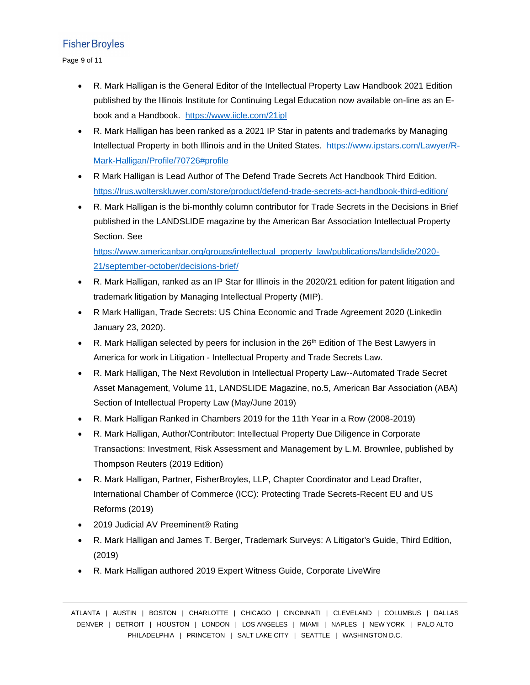Page 9 of 11

- R. Mark Halligan is the General Editor of the Intellectual Property Law Handbook 2021 Edition published by the Illinois Institute for Continuing Legal Education now available on-line as an Ebook and a Handbook. [https://www.iicle.com/21ipl](https://nam02.safelinks.protection.outlook.com/?url=https%3A%2F%2Fwww.iicle.com%2F21ipl&data=04%7C01%7Cmarketing%40FisherBroyles.com%7Cef54f3b5a93b43db675a08d90be97d1b%7C9e8fa05ee48847f48de9cd9bd0adf758%7C0%7C0%7C637553919720967656%7CUnknown%7CTWFpbGZsb3d8eyJWIjoiMC4wLjAwMDAiLCJQIjoiV2luMzIiLCJBTiI6Ik1haWwiLCJXVCI6Mn0%3D%7C1000&sdata=5QG5xJlfj5WbKk2z6tXHYTTr8iYSshsxmwLYa%2FSb3Tw%3D&reserved=0)
- R. Mark Halligan has been ranked as a 2021 IP Star in patents and trademarks by Managing Intellectual Property in both Illinois and in the United States. [https://www.ipstars.com/Lawyer/R-](https://nam02.safelinks.protection.outlook.com/?url=https%3A%2F%2Fwww.ipstars.com%2FLawyer%2FR-Mark-Halligan%2FProfile%2F70726%23profile&data=04%7C01%7Cmarketing%40FisherBroyles.com%7C3eb7e03ca7f94f76d01908d90be6c095%7C9e8fa05ee48847f48de9cd9bd0adf758%7C0%7C0%7C637553907970438735%7CUnknown%7CTWFpbGZsb3d8eyJWIjoiMC4wLjAwMDAiLCJQIjoiV2luMzIiLCJBTiI6Ik1haWwiLCJXVCI6Mn0%3D%7C1000&sdata=9sNsug13tgZmg3n7RaxPCsoFS5EKFdZQ6EwGgtOEL5o%3D&reserved=0)[Mark-Halligan/Profile/70726#profile](https://nam02.safelinks.protection.outlook.com/?url=https%3A%2F%2Fwww.ipstars.com%2FLawyer%2FR-Mark-Halligan%2FProfile%2F70726%23profile&data=04%7C01%7Cmarketing%40FisherBroyles.com%7C3eb7e03ca7f94f76d01908d90be6c095%7C9e8fa05ee48847f48de9cd9bd0adf758%7C0%7C0%7C637553907970438735%7CUnknown%7CTWFpbGZsb3d8eyJWIjoiMC4wLjAwMDAiLCJQIjoiV2luMzIiLCJBTiI6Ik1haWwiLCJXVCI6Mn0%3D%7C1000&sdata=9sNsug13tgZmg3n7RaxPCsoFS5EKFdZQ6EwGgtOEL5o%3D&reserved=0)
- R Mark Halligan is Lead Author of The Defend Trade Secrets Act Handbook Third Edition. <https://lrus.wolterskluwer.com/store/product/defend-trade-secrets-act-handbook-third-edition/>
- R. Mark Halligan is the bi-monthly column contributor for Trade Secrets in the Decisions in Brief published in the LANDSLIDE magazine by the American Bar Association Intellectual Property Section. See

[https://www.americanbar.org/groups/intellectual\\_property\\_law/publications/landslide/2020-](https://www.americanbar.org/groups/intellectual_property_law/publications/landslide/2020-21/september-october/decisions-brief/) [21/september-october/decisions-brief/](https://www.americanbar.org/groups/intellectual_property_law/publications/landslide/2020-21/september-october/decisions-brief/)

- R. Mark Halligan, ranked as an IP Star for Illinois in the 2020/21 edition for patent litigation and trademark litigation by Managing Intellectual Property (MIP).
- R Mark Halligan, Trade Secrets: US China Economic and Trade Agreement 2020 (Linkedin January 23, 2020).
- R. Mark Halligan selected by peers for inclusion in the 26<sup>th</sup> Edition of The Best Lawyers in America for work in Litigation - Intellectual Property and Trade Secrets Law.
- R. Mark Halligan, The Next Revolution in Intellectual Property Law--Automated Trade Secret Asset Management, Volume 11, LANDSLIDE Magazine, no.5, American Bar Association (ABA) Section of Intellectual Property Law (May/June 2019)
- R. Mark Halligan Ranked in Chambers 2019 for the 11th Year in a Row (2008-2019)
- R. Mark Halligan, Author/Contributor: Intellectual Property Due Diligence in Corporate Transactions: Investment, Risk Assessment and Management by L.M. Brownlee, published by Thompson Reuters (2019 Edition)
- R. Mark Halligan, Partner, FisherBroyles, LLP, Chapter Coordinator and Lead Drafter, International Chamber of Commerce (ICC): Protecting Trade Secrets-Recent EU and US Reforms (2019)
- 2019 Judicial AV Preeminent® Rating
- R. Mark Halligan and James T. Berger, Trademark Surveys: A Litigator's Guide, Third Edition, (2019)
- R. Mark Halligan authored 2019 Expert Witness Guide, Corporate LiveWire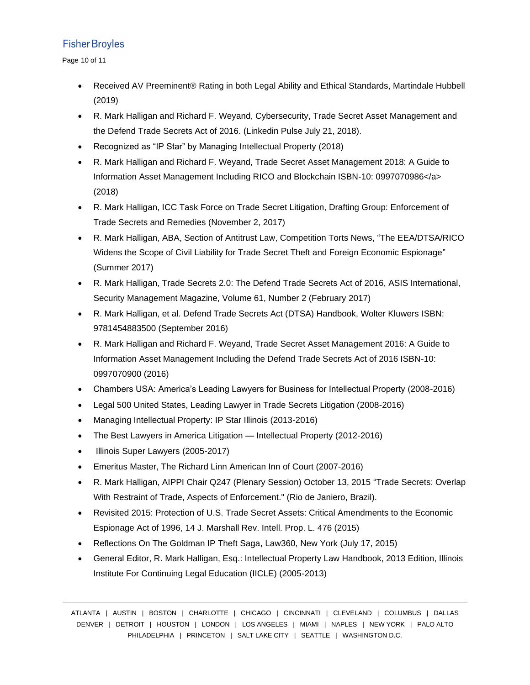Page 10 of 11

- Received AV Preeminent® Rating in both Legal Ability and Ethical Standards, Martindale Hubbell (2019)
- R. Mark Halligan and Richard F. Weyand, Cybersecurity, Trade Secret Asset Management and the Defend Trade Secrets Act of 2016. (Linkedin Pulse July 21, 2018).
- Recognized as "IP Star" by Managing Intellectual Property (2018)
- R. Mark Halligan and Richard F. Weyand, Trade Secret Asset Management 2018: A Guide to Information Asset Management Including RICO and Blockchain ISBN-10: 0997070986</a> (2018)
- R. Mark Halligan, ICC Task Force on Trade Secret Litigation, Drafting Group: Enforcement of Trade Secrets and Remedies (November 2, 2017)
- R. Mark Halligan, ABA, Section of Antitrust Law, Competition Torts News, "The EEA/DTSA/RICO Widens the Scope of Civil Liability for Trade Secret Theft and Foreign Economic Espionage" (Summer 2017)
- R. Mark Halligan, Trade Secrets 2.0: The Defend Trade Secrets Act of 2016, ASIS International, Security Management Magazine, Volume 61, Number 2 (February 2017)
- R. Mark Halligan, et al. Defend Trade Secrets Act (DTSA) Handbook, Wolter Kluwers ISBN: 9781454883500 (September 2016)
- R. Mark Halligan and Richard F. Weyand, Trade Secret Asset Management 2016: A Guide to Information Asset Management Including the Defend Trade Secrets Act of 2016 ISBN-10: 0997070900 (2016)
- Chambers USA: America's Leading Lawyers for Business for Intellectual Property (2008-2016)
- Legal 500 United States, Leading Lawyer in Trade Secrets Litigation (2008-2016)
- Managing Intellectual Property: IP Star Illinois (2013-2016)
- The Best Lawyers in America Litigation Intellectual Property (2012-2016)
- Illinois Super Lawyers (2005-2017)
- Emeritus Master, The Richard Linn American Inn of Court (2007-2016)
- R. Mark Halligan, AIPPI Chair Q247 (Plenary Session) October 13, 2015 "Trade Secrets: Overlap With Restraint of Trade, Aspects of Enforcement." (Rio de Janiero, Brazil).
- Revisited 2015: Protection of U.S. Trade Secret Assets: Critical Amendments to the Economic Espionage Act of 1996, 14 J. Marshall Rev. Intell. Prop. L. 476 (2015)
- Reflections On The Goldman IP Theft Saga, Law360, New York (July 17, 2015)
- General Editor, R. Mark Halligan, Esq.: Intellectual Property Law Handbook, 2013 Edition, Illinois Institute For Continuing Legal Education (IICLE) (2005-2013)